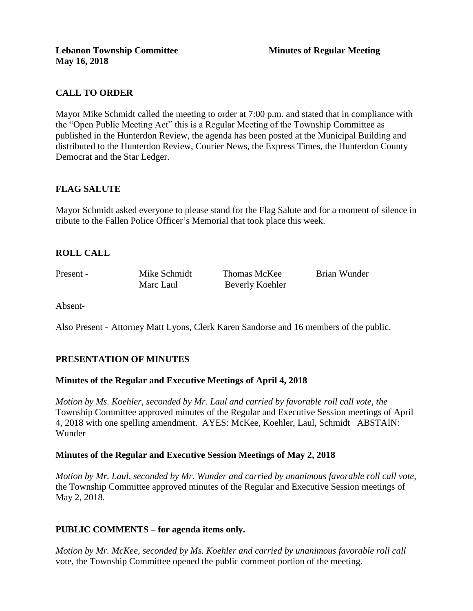# **CALL TO ORDER**

Mayor Mike Schmidt called the meeting to order at 7:00 p.m. and stated that in compliance with the "Open Public Meeting Act" this is a Regular Meeting of the Township Committee as published in the Hunterdon Review, the agenda has been posted at the Municipal Building and distributed to the Hunterdon Review, Courier News, the Express Times, the Hunterdon County Democrat and the Star Ledger.

# **FLAG SALUTE**

Mayor Schmidt asked everyone to please stand for the Flag Salute and for a moment of silence in tribute to the Fallen Police Officer's Memorial that took place this week.

# **ROLL CALL**

Present - Mike Schmidt Thomas McKee Brian Wunder Marc Laul Beverly Koehler

Absent-

Also Present - Attorney Matt Lyons, Clerk Karen Sandorse and 16 members of the public.

# **PRESENTATION OF MINUTES**

#### **Minutes of the Regular and Executive Meetings of April 4, 2018**

*Motion by Ms. Koehler, seconded by Mr. Laul and carried by favorable roll call vote, the* Township Committee approved minutes of the Regular and Executive Session meetings of April 4, 2018 with one spelling amendment. AYES: McKee, Koehler, Laul, Schmidt ABSTAIN: Wunder

#### **Minutes of the Regular and Executive Session Meetings of May 2, 2018**

*Motion by Mr. Laul, seconded by Mr. Wunder and carried by unanimous favorable roll call vote,*  the Township Committee approved minutes of the Regular and Executive Session meetings of May 2, 2018.

#### **PUBLIC COMMENTS – for agenda items only.**

*Motion by Mr. McKee, seconded by Ms. Koehler and carried by unanimous favorable roll call*  vote, the Township Committee opened the public comment portion of the meeting.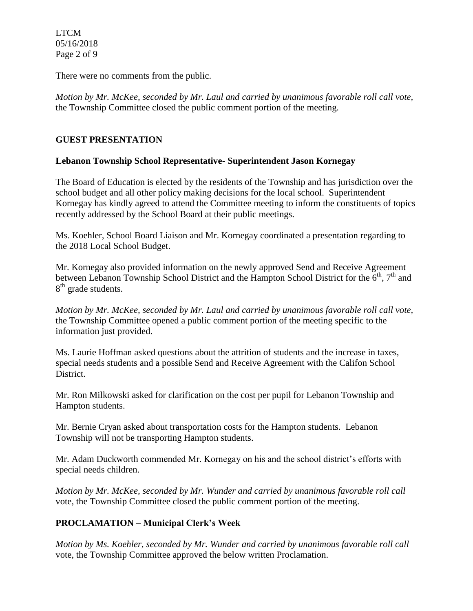LTCM 05/16/2018 Page 2 of 9

There were no comments from the public.

*Motion by Mr. McKee, seconded by Mr. Laul and carried by unanimous favorable roll call vote,* the Township Committee closed the public comment portion of the meeting.

# **GUEST PRESENTATION**

# **Lebanon Township School Representative- Superintendent Jason Kornegay**

The Board of Education is elected by the residents of the Township and has jurisdiction over the school budget and all other policy making decisions for the local school. Superintendent Kornegay has kindly agreed to attend the Committee meeting to inform the constituents of topics recently addressed by the School Board at their public meetings.

Ms. Koehler, School Board Liaison and Mr. Kornegay coordinated a presentation regarding to the 2018 Local School Budget.

Mr. Kornegay also provided information on the newly approved Send and Receive Agreement between Lebanon Township School District and the Hampton School District for the  $\bar{6}^{th}$ ,  $7^{th}$  and 8<sup>th</sup> grade students.

*Motion by Mr. McKee, seconded by Mr. Laul and carried by unanimous favorable roll call vote,* the Township Committee opened a public comment portion of the meeting specific to the information just provided.

Ms. Laurie Hoffman asked questions about the attrition of students and the increase in taxes, special needs students and a possible Send and Receive Agreement with the Califon School District.

Mr. Ron Milkowski asked for clarification on the cost per pupil for Lebanon Township and Hampton students.

Mr. Bernie Cryan asked about transportation costs for the Hampton students. Lebanon Township will not be transporting Hampton students.

Mr. Adam Duckworth commended Mr. Kornegay on his and the school district's efforts with special needs children.

*Motion by Mr. McKee, seconded by Mr. Wunder and carried by unanimous favorable roll call*  vote, the Township Committee closed the public comment portion of the meeting.

# **PROCLAMATION – Municipal Clerk's Week**

*Motion by Ms. Koehler, seconded by Mr. Wunder and carried by unanimous favorable roll call*  vote, the Township Committee approved the below written Proclamation.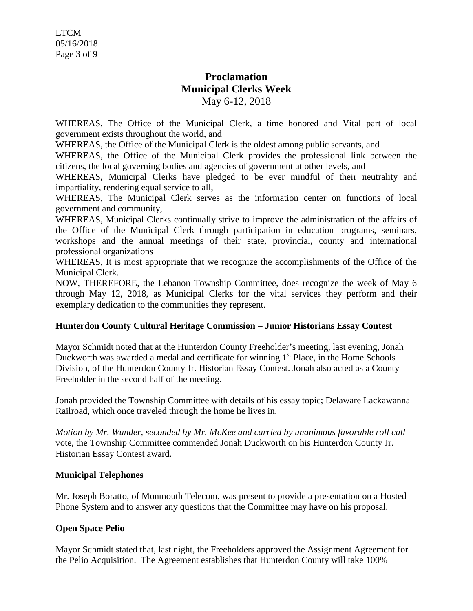# **Proclamation Municipal Clerks Week** May 6-12, 2018

WHEREAS, The Office of the Municipal Clerk, a time honored and Vital part of local government exists throughout the world, and

WHEREAS, the Office of the Municipal Clerk is the oldest among public servants, and

WHEREAS, the Office of the Municipal Clerk provides the professional link between the citizens, the local governing bodies and agencies of government at other levels, and

WHEREAS, Municipal Clerks have pledged to be ever mindful of their neutrality and impartiality, rendering equal service to all,

WHEREAS, The Municipal Clerk serves as the information center on functions of local government and community,

WHEREAS, Municipal Clerks continually strive to improve the administration of the affairs of the Office of the Municipal Clerk through participation in education programs, seminars, workshops and the annual meetings of their state, provincial, county and international professional organizations

WHEREAS, It is most appropriate that we recognize the accomplishments of the Office of the Municipal Clerk.

NOW, THEREFORE, the Lebanon Township Committee, does recognize the week of May 6 through May 12, 2018, as Municipal Clerks for the vital services they perform and their exemplary dedication to the communities they represent.

# **Hunterdon County Cultural Heritage Commission – Junior Historians Essay Contest**

Mayor Schmidt noted that at the Hunterdon County Freeholder's meeting, last evening, Jonah Duckworth was awarded a medal and certificate for winning 1<sup>st</sup> Place, in the Home Schools Division, of the Hunterdon County Jr. Historian Essay Contest. Jonah also acted as a County Freeholder in the second half of the meeting.

Jonah provided the Township Committee with details of his essay topic; Delaware Lackawanna Railroad, which once traveled through the home he lives in.

*Motion by Mr. Wunder, seconded by Mr. McKee and carried by unanimous favorable roll call*  vote, the Township Committee commended Jonah Duckworth on his Hunterdon County Jr. Historian Essay Contest award.

#### **Municipal Telephones**

Mr. Joseph Boratto, of Monmouth Telecom, was present to provide a presentation on a Hosted Phone System and to answer any questions that the Committee may have on his proposal.

# **Open Space Pelio**

Mayor Schmidt stated that, last night, the Freeholders approved the Assignment Agreement for the Pelio Acquisition. The Agreement establishes that Hunterdon County will take 100%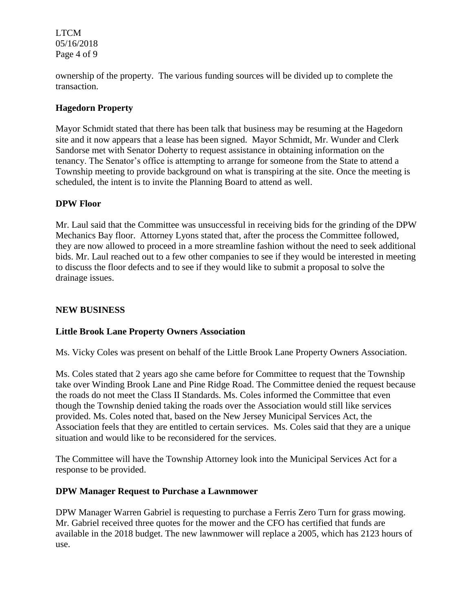LTCM 05/16/2018 Page 4 of 9

ownership of the property. The various funding sources will be divided up to complete the transaction.

# **Hagedorn Property**

Mayor Schmidt stated that there has been talk that business may be resuming at the Hagedorn site and it now appears that a lease has been signed. Mayor Schmidt, Mr. Wunder and Clerk Sandorse met with Senator Doherty to request assistance in obtaining information on the tenancy. The Senator's office is attempting to arrange for someone from the State to attend a Township meeting to provide background on what is transpiring at the site. Once the meeting is scheduled, the intent is to invite the Planning Board to attend as well.

### **DPW Floor**

Mr. Laul said that the Committee was unsuccessful in receiving bids for the grinding of the DPW Mechanics Bay floor. Attorney Lyons stated that, after the process the Committee followed, they are now allowed to proceed in a more streamline fashion without the need to seek additional bids. Mr. Laul reached out to a few other companies to see if they would be interested in meeting to discuss the floor defects and to see if they would like to submit a proposal to solve the drainage issues.

# **NEW BUSINESS**

# **Little Brook Lane Property Owners Association**

Ms. Vicky Coles was present on behalf of the Little Brook Lane Property Owners Association.

Ms. Coles stated that 2 years ago she came before for Committee to request that the Township take over Winding Brook Lane and Pine Ridge Road. The Committee denied the request because the roads do not meet the Class II Standards. Ms. Coles informed the Committee that even though the Township denied taking the roads over the Association would still like services provided. Ms. Coles noted that, based on the New Jersey Municipal Services Act, the Association feels that they are entitled to certain services. Ms. Coles said that they are a unique situation and would like to be reconsidered for the services.

The Committee will have the Township Attorney look into the Municipal Services Act for a response to be provided.

#### **DPW Manager Request to Purchase a Lawnmower**

DPW Manager Warren Gabriel is requesting to purchase a Ferris Zero Turn for grass mowing. Mr. Gabriel received three quotes for the mower and the CFO has certified that funds are available in the 2018 budget. The new lawnmower will replace a 2005, which has 2123 hours of use.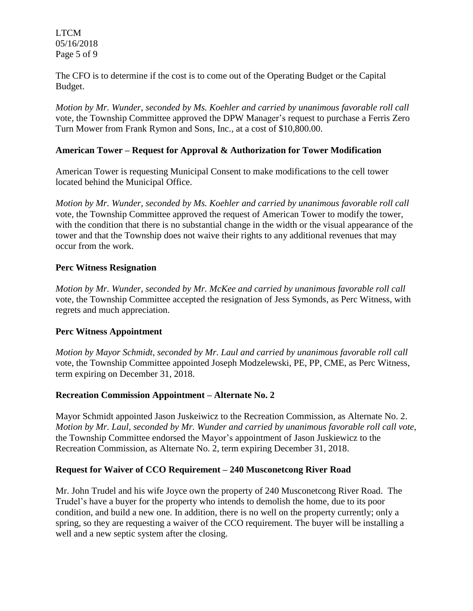LTCM 05/16/2018 Page 5 of 9

The CFO is to determine if the cost is to come out of the Operating Budget or the Capital Budget.

*Motion by Mr. Wunder, seconded by Ms. Koehler and carried by unanimous favorable roll call*  vote*,* the Township Committee approved the DPW Manager's request to purchase a Ferris Zero Turn Mower from Frank Rymon and Sons, Inc., at a cost of \$10,800.00.

#### **American Tower – Request for Approval & Authorization for Tower Modification**

American Tower is requesting Municipal Consent to make modifications to the cell tower located behind the Municipal Office.

*Motion by Mr. Wunder, seconded by Ms. Koehler and carried by unanimous favorable roll call*  vote*,* the Township Committee approved the request of American Tower to modify the tower, with the condition that there is no substantial change in the width or the visual appearance of the tower and that the Township does not waive their rights to any additional revenues that may occur from the work.

### **Perc Witness Resignation**

*Motion by Mr. Wunder, seconded by Mr. McKee and carried by unanimous favorable roll call*  vote*,* the Township Committee accepted the resignation of Jess Symonds, as Perc Witness, with regrets and much appreciation.

#### **Perc Witness Appointment**

*Motion by Mayor Schmidt, seconded by Mr. Laul and carried by unanimous favorable roll call*  vote*,* the Township Committee appointed Joseph Modzelewski, PE, PP, CME, as Perc Witness, term expiring on December 31, 2018.

#### **Recreation Commission Appointment – Alternate No. 2**

Mayor Schmidt appointed Jason Juskeiwicz to the Recreation Commission, as Alternate No. 2. *Motion by Mr. Laul, seconded by Mr. Wunder and carried by unanimous favorable roll call vote,* the Township Committee endorsed the Mayor's appointment of Jason Juskiewicz to the Recreation Commission, as Alternate No. 2, term expiring December 31, 2018.

#### **Request for Waiver of CCO Requirement – 240 Musconetcong River Road**

Mr. John Trudel and his wife Joyce own the property of 240 Musconetcong River Road. The Trudel's have a buyer for the property who intends to demolish the home, due to its poor condition, and build a new one. In addition, there is no well on the property currently; only a spring, so they are requesting a waiver of the CCO requirement. The buyer will be installing a well and a new septic system after the closing.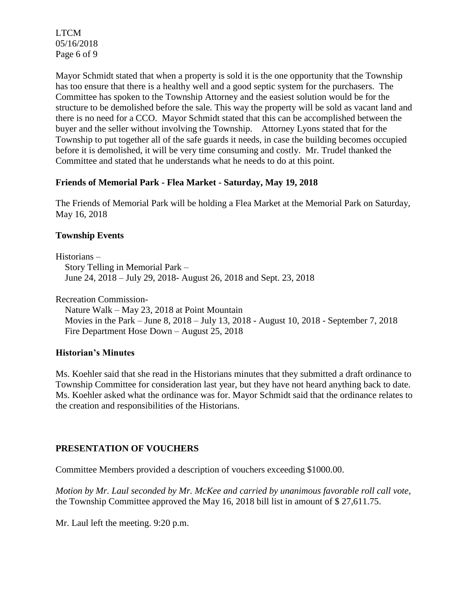LTCM 05/16/2018 Page 6 of 9

Mayor Schmidt stated that when a property is sold it is the one opportunity that the Township has too ensure that there is a healthy well and a good septic system for the purchasers. The Committee has spoken to the Township Attorney and the easiest solution would be for the structure to be demolished before the sale. This way the property will be sold as vacant land and there is no need for a CCO. Mayor Schmidt stated that this can be accomplished between the buyer and the seller without involving the Township. Attorney Lyons stated that for the Township to put together all of the safe guards it needs, in case the building becomes occupied before it is demolished, it will be very time consuming and costly. Mr. Trudel thanked the Committee and stated that he understands what he needs to do at this point.

### **Friends of Memorial Park - Flea Market - Saturday, May 19, 2018**

The Friends of Memorial Park will be holding a Flea Market at the Memorial Park on Saturday, May 16, 2018

### **Township Events**

Historians – Story Telling in Memorial Park – June 24, 2018 – July 29, 2018- August 26, 2018 and Sept. 23, 2018

Recreation Commission-

 Nature Walk – May 23, 2018 at Point Mountain Movies in the Park – June 8, 2018 – July 13, 2018 - August 10, 2018 - September 7, 2018 Fire Department Hose Down – August 25, 2018

# **Historian's Minutes**

Ms. Koehler said that she read in the Historians minutes that they submitted a draft ordinance to Township Committee for consideration last year, but they have not heard anything back to date. Ms. Koehler asked what the ordinance was for. Mayor Schmidt said that the ordinance relates to the creation and responsibilities of the Historians.

# **PRESENTATION OF VOUCHERS**

Committee Members provided a description of vouchers exceeding \$1000.00.

*Motion by Mr. Laul seconded by Mr. McKee and carried by unanimous favorable roll call vote,* the Township Committee approved the May 16, 2018 bill list in amount of \$ 27,611.75.

Mr. Laul left the meeting. 9:20 p.m.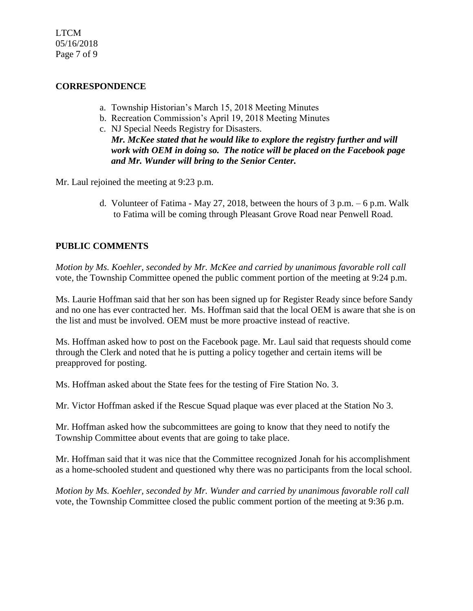LTCM 05/16/2018 Page 7 of 9

### **CORRESPONDENCE**

- a. Township Historian's March 15, 2018 Meeting Minutes
- b. Recreation Commission's April 19, 2018 Meeting Minutes
- c. NJ Special Needs Registry for Disasters. *Mr. McKee stated that he would like to explore the registry further and will work with OEM in doing so. The notice will be placed on the Facebook page and Mr. Wunder will bring to the Senior Center.*

Mr. Laul rejoined the meeting at 9:23 p.m.

d. Volunteer of Fatima - May 27, 2018, between the hours of  $3$  p.m.  $-6$  p.m. Walk to Fatima will be coming through Pleasant Grove Road near Penwell Road.

# **PUBLIC COMMENTS**

*Motion by Ms. Koehler, seconded by Mr. McKee and carried by unanimous favorable roll call*  vote*,* the Township Committee opened the public comment portion of the meeting at 9:24 p.m.

Ms. Laurie Hoffman said that her son has been signed up for Register Ready since before Sandy and no one has ever contracted her. Ms. Hoffman said that the local OEM is aware that she is on the list and must be involved. OEM must be more proactive instead of reactive.

Ms. Hoffman asked how to post on the Facebook page. Mr. Laul said that requests should come through the Clerk and noted that he is putting a policy together and certain items will be preapproved for posting.

Ms. Hoffman asked about the State fees for the testing of Fire Station No. 3.

Mr. Victor Hoffman asked if the Rescue Squad plaque was ever placed at the Station No 3.

Mr. Hoffman asked how the subcommittees are going to know that they need to notify the Township Committee about events that are going to take place.

Mr. Hoffman said that it was nice that the Committee recognized Jonah for his accomplishment as a home-schooled student and questioned why there was no participants from the local school.

*Motion by Ms. Koehler, seconded by Mr. Wunder and carried by unanimous favorable roll call*  vote, the Township Committee closed the public comment portion of the meeting at 9:36 p.m.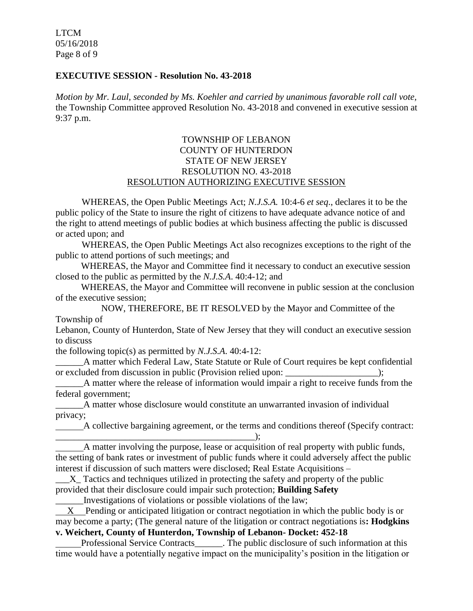LTCM 05/16/2018 Page 8 of 9

#### **EXECUTIVE SESSION - Resolution No. 43-2018**

*Motion by Mr. Laul, seconded by Ms. Koehler and carried by unanimous favorable roll call vote,* the Township Committee approved Resolution No. 43-2018 and convened in executive session at 9:37 p.m.

### TOWNSHIP OF LEBANON COUNTY OF HUNTERDON STATE OF NEW JERSEY RESOLUTION NO. 43-2018 RESOLUTION AUTHORIZING EXECUTIVE SESSION

WHEREAS, the Open Public Meetings Act; *N.J.S.A.* 10:4-6 *et seq*., declares it to be the public policy of the State to insure the right of citizens to have adequate advance notice of and the right to attend meetings of public bodies at which business affecting the public is discussed or acted upon; and

WHEREAS, the Open Public Meetings Act also recognizes exceptions to the right of the public to attend portions of such meetings; and

 WHEREAS, the Mayor and Committee find it necessary to conduct an executive session closed to the public as permitted by the *N.J.S.A*. 40:4-12; and

 WHEREAS, the Mayor and Committee will reconvene in public session at the conclusion of the executive session;

NOW, THEREFORE, BE IT RESOLVED by the Mayor and Committee of the Township of

Lebanon, County of Hunterdon, State of New Jersey that they will conduct an executive session to discuss

the following topic(s) as permitted by *N.J.S.A*. 40:4-12:

A matter which Federal Law, State Statute or Rule of Court requires be kept confidential or excluded from discussion in public (Provision relied upon:  $\cdot$  );

A matter where the release of information would impair a right to receive funds from the federal government;

A matter whose disclosure would constitute an unwarranted invasion of individual privacy;

 A collective bargaining agreement, or the terms and conditions thereof (Specify contract: \_\_\_\_\_\_\_\_\_\_\_\_\_\_\_\_\_\_\_\_\_\_\_\_\_\_\_\_\_\_\_\_\_\_\_\_\_\_\_\_\_\_\_);

 A matter involving the purpose, lease or acquisition of real property with public funds, the setting of bank rates or investment of public funds where it could adversely affect the public interest if discussion of such matters were disclosed; Real Estate Acquisitions –

\_\_\_X\_ Tactics and techniques utilized in protecting the safety and property of the public provided that their disclosure could impair such protection; **Building Safety**

\_\_\_\_\_\_Investigations of violations or possible violations of the law;

 X Pending or anticipated litigation or contract negotiation in which the public body is or may become a party; (The general nature of the litigation or contract negotiations is**: Hodgkins v. Weichert, County of Hunterdon, Township of Lebanon- Docket: 452-18**

Professional Service Contracts\_\_\_\_\_\_. The public disclosure of such information at this time would have a potentially negative impact on the municipality's position in the litigation or